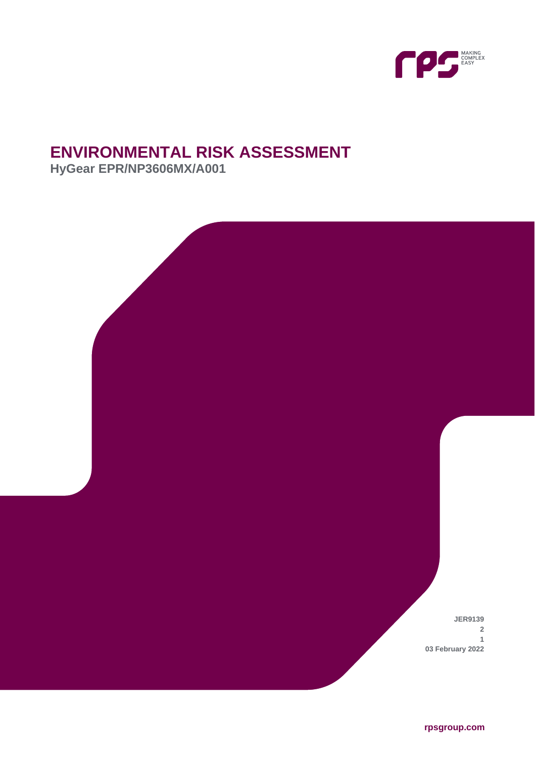

# **ENVIRONMENTAL RISK ASSESSMENT**

**HyGear EPR/NP3606MX/A001**



**rpsgroup.com**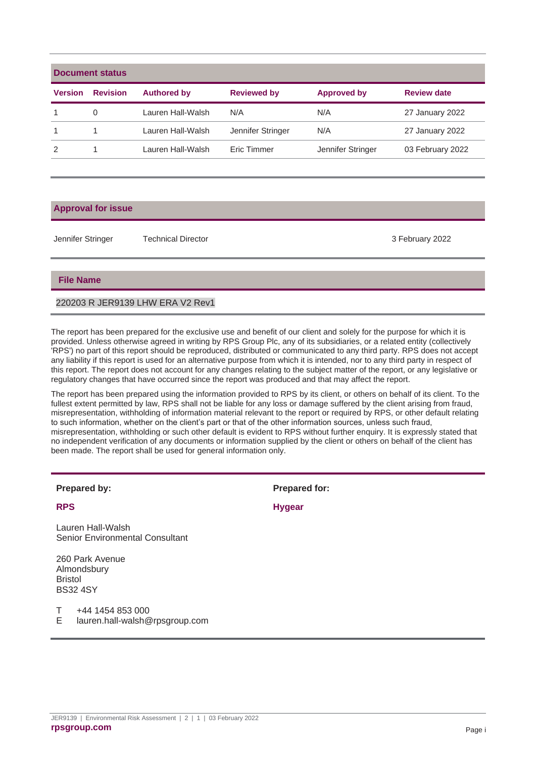| Document status |                 |                    |                    |                    |                    |  |  |  |
|-----------------|-----------------|--------------------|--------------------|--------------------|--------------------|--|--|--|
| <b>Version</b>  | <b>Revision</b> | <b>Authored by</b> | <b>Reviewed by</b> | <b>Approved by</b> | <b>Review date</b> |  |  |  |
|                 | 0               | Lauren Hall-Walsh  | N/A                | N/A                | 27 January 2022    |  |  |  |
|                 |                 | Lauren Hall-Walsh  | Jennifer Stringer  | N/A                | 27 January 2022    |  |  |  |
| $\mathcal{P}$   |                 | Lauren Hall-Walsh  | Eric Timmer        | Jennifer Stringer  | 03 February 2022   |  |  |  |

#### **Approval for issue**

Jennifer Stringer Technical Director 3 February 2022

### **File Name**

#### 220203 R JER9139 LHW ERA V2 Rev1

The report has been prepared for the exclusive use and benefit of our client and solely for the purpose for which it is provided. Unless otherwise agreed in writing by RPS Group Plc, any of its subsidiaries, or a related entity (collectively 'RPS') no part of this report should be reproduced, distributed or communicated to any third party. RPS does not accept any liability if this report is used for an alternative purpose from which it is intended, nor to any third party in respect of this report. The report does not account for any changes relating to the subject matter of the report, or any legislative or regulatory changes that have occurred since the report was produced and that may affect the report.

The report has been prepared using the information provided to RPS by its client, or others on behalf of its client. To the fullest extent permitted by law, RPS shall not be liable for any loss or damage suffered by the client arising from fraud, misrepresentation, withholding of information material relevant to the report or required by RPS, or other default relating to such information, whether on the client's part or that of the other information sources, unless such fraud, misrepresentation, withholding or such other default is evident to RPS without further enquiry. It is expressly stated that no independent verification of any documents or information supplied by the client or others on behalf of the client has been made. The report shall be used for general information only.

| <b>Prepared by:</b> |  |
|---------------------|--|
|                     |  |

Lauren Hall-Walsh Senior Environmental Consultant

260 Park Avenue Almondsbury Bristol BS32 4SY

T +44 1454 853 000

E lauren.hall-walsh@rpsgroup.com

**Prepared for:** 

**RPS Hygear**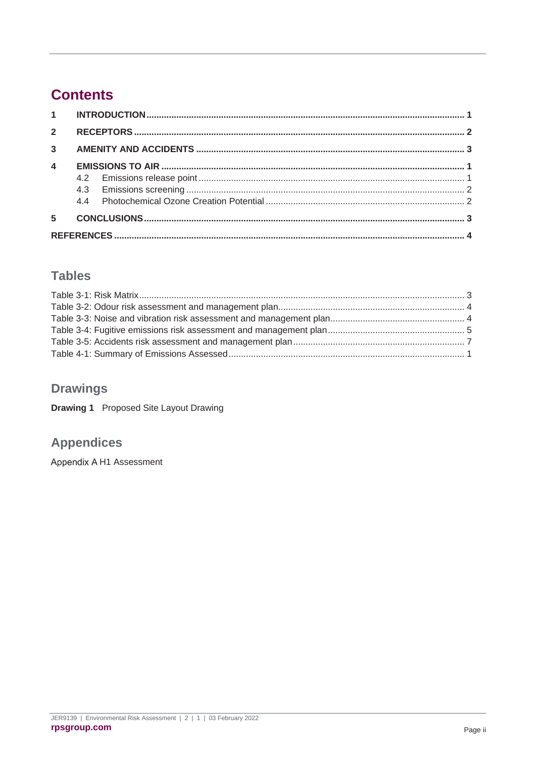## **Contents**

| $1 \quad \blacksquare$ |  |  |  |  |  |  |
|------------------------|--|--|--|--|--|--|
| $\overline{2}$         |  |  |  |  |  |  |
| $\overline{3}$         |  |  |  |  |  |  |
| $\boldsymbol{4}$       |  |  |  |  |  |  |
|                        |  |  |  |  |  |  |
|                        |  |  |  |  |  |  |
|                        |  |  |  |  |  |  |
| 5                      |  |  |  |  |  |  |
|                        |  |  |  |  |  |  |

### **Tables**

### **Drawings**

**Drawing 1** Proposed Site Layout Drawing

### **Appendices**

Appendix A H1 Assessment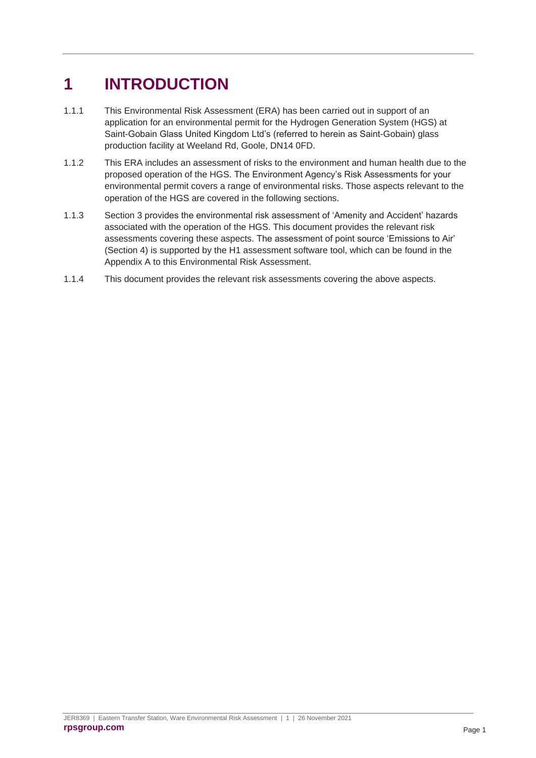# <span id="page-3-0"></span>**1 INTRODUCTION**

- 1.1.1 This Environmental Risk Assessment (ERA) has been carried out in support of an application for an environmental permit for the Hydrogen Generation System (HGS) at Saint-Gobain Glass United Kingdom Ltd's (referred to herein as Saint-Gobain) glass production facility at Weeland Rd, Goole, DN14 0FD.
- 1.1.2 This ERA includes an assessment of risks to the environment and human health due to the proposed operation of the HGS. The Environment Agency's Risk Assessments for your environmental permit covers a range of environmental risks. Those aspects relevant to the operation of the HGS are covered in the following sections.
- 1.1.3 Section 3 provides the environmental risk assessment of 'Amenity and Accident' hazards associated with the operation of the HGS. This document provides the relevant risk assessments covering these aspects. The assessment of point source 'Emissions to Air' (Section 4) is supported by the H1 assessment software tool, which can be found in the Appendix A to this Environmental Risk Assessment.
- 1.1.4 This document provides the relevant risk assessments covering the above aspects.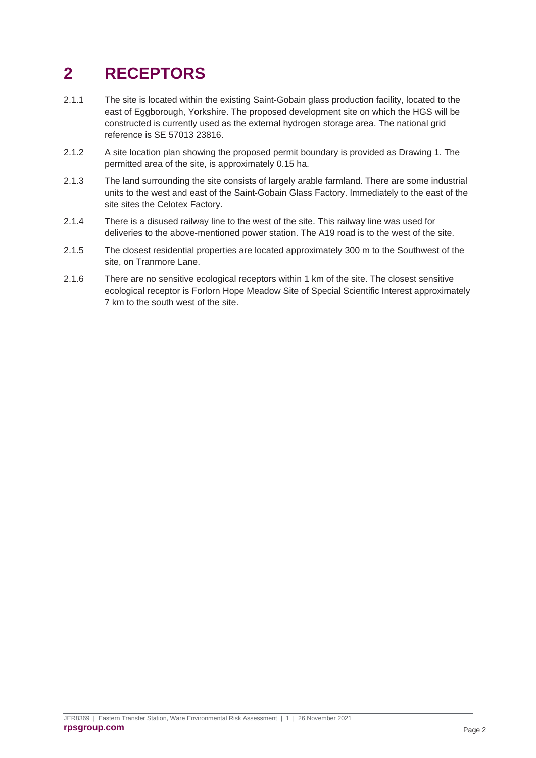# <span id="page-4-0"></span>**2 RECEPTORS**

- 2.1.1 The site is located within the existing Saint-Gobain glass production facility, located to the east of Eggborough, Yorkshire. The proposed development site on which the HGS will be constructed is currently used as the external hydrogen storage area. The national grid reference is SE 57013 23816.
- 2.1.2 A site location plan showing the proposed permit boundary is provided as Drawing 1. The permitted area of the site, is approximately 0.15 ha.
- 2.1.3 The land surrounding the site consists of largely arable farmland. There are some industrial units to the west and east of the Saint-Gobain Glass Factory. Immediately to the east of the site sites the Celotex Factory.
- 2.1.4 There is a disused railway line to the west of the site. This railway line was used for deliveries to the above-mentioned power station. The A19 road is to the west of the site.
- 2.1.5 The closest residential properties are located approximately 300 m to the Southwest of the site, on Tranmore Lane.
- 2.1.6 There are no sensitive ecological receptors within 1 km of the site. The closest sensitive ecological receptor is Forlorn Hope Meadow Site of Special Scientific Interest approximately 7 km to the south west of the site.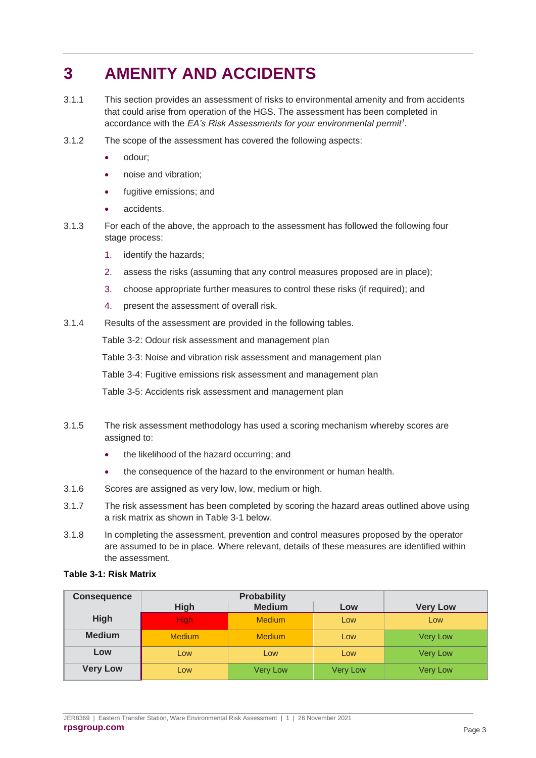# <span id="page-5-0"></span>**3 AMENITY AND ACCIDENTS**

- 3.1.1 This section provides an assessment of risks to environmental amenity and from accidents that could arise from operation of the HGS. The assessment has been completed in accordance with the *EA's Risk Assessments for your environmental permit<sup>1</sup> .*
- 3.1.2 The scope of the assessment has covered the following aspects:
	- odour;
	- noise and vibration;
	- fugitive emissions; and
	- accidents.
- 3.1.3 For each of the above, the approach to the assessment has followed the following four stage process:
	- 1. identify the hazards;
	- 2. assess the risks (assuming that any control measures proposed are in place);
	- 3. choose appropriate further measures to control these risks (if required); and
	- 4. present the assessment of overall risk.
- 3.1.4 Results of the assessment are provided in the following tables.

[Table 3-2: Odour risk assessment and management plan](#page-6-0)

[Table 3-3: Noise and vibration risk assessment and management plan](#page-6-1)

[Table 3-4: Fugitive emissions risk assessment and management plan](#page-7-0)

[Table 3-5: Accidents risk assessment and management plan](#page-9-0)

- 3.1.5 The risk assessment methodology has used a scoring mechanism whereby scores are assigned to:
	- the likelihood of the hazard occurring; and
	- the consequence of the hazard to the environment or human health.
- 3.1.6 Scores are assigned as very low, low, medium or high.
- 3.1.7 The risk assessment has been completed by scoring the hazard areas outlined above using a risk matrix as shown in [Table 3-1](#page-5-1) below.
- 3.1.8 In completing the assessment, prevention and control measures proposed by the operator are assumed to be in place. Where relevant, details of these measures are identified within the assessment.

#### <span id="page-5-1"></span>**Table 3-1: Risk Matrix**

| <b>Consequence</b> |               |                 |                 |                 |
|--------------------|---------------|-----------------|-----------------|-----------------|
|                    | <b>High</b>   | <b>Medium</b>   | Low             | <b>Very Low</b> |
| <b>High</b>        | High:         | <b>Medium</b>   | Low             | Low             |
| <b>Medium</b>      | <b>Medium</b> | <b>Medium</b>   | Low             | <b>Very Low</b> |
| Low                | Low           | Low             | Low             | <b>Very Low</b> |
| <b>Very Low</b>    | Low           | <b>Very Low</b> | <b>Very Low</b> | <b>Very Low</b> |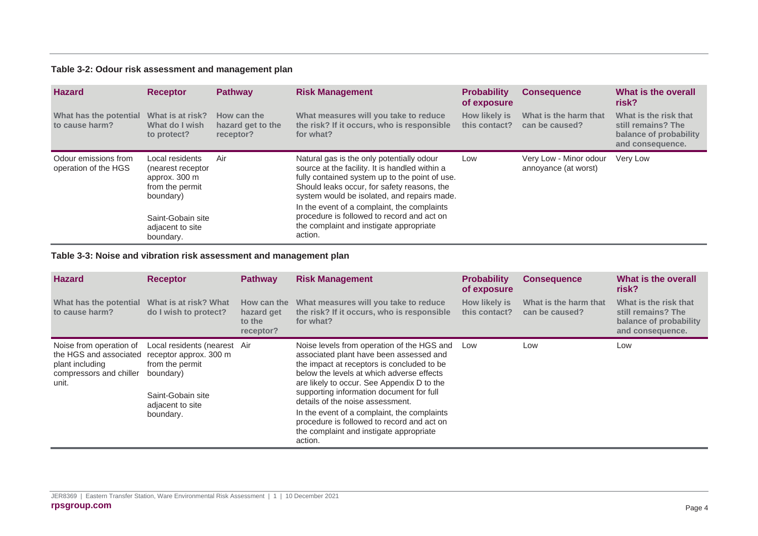#### **Table 3-2: Odour risk assessment and management plan**

| <b>Hazard</b>                                | <b>Receptor</b>                                                                       | <b>Pathway</b>                                | <b>Risk Management</b>                                                                                                                                                                                                                      | <b>Probability</b><br>of exposure | <b>Consequence</b>                             | What is the overall<br>risk?                                                              |
|----------------------------------------------|---------------------------------------------------------------------------------------|-----------------------------------------------|---------------------------------------------------------------------------------------------------------------------------------------------------------------------------------------------------------------------------------------------|-----------------------------------|------------------------------------------------|-------------------------------------------------------------------------------------------|
| What has the potential<br>to cause harm?     | What is at risk?<br>What do I wish<br>to protect?                                     | How can the<br>hazard get to the<br>receptor? | What measures will you take to reduce<br>the risk? If it occurs, who is responsible<br>for what?                                                                                                                                            | How likely is<br>this contact?    | What is the harm that<br>can be caused?        | What is the risk that<br>still remains? The<br>balance of probability<br>and consequence. |
| Odour emissions from<br>operation of the HGS | Local residents<br>(nearest receptor<br>approx. 300 m<br>from the permit<br>boundary) | Air                                           | Natural gas is the only potentially odour<br>source at the facility. It is handled within a<br>fully contained system up to the point of use.<br>Should leaks occur, for safety reasons, the<br>system would be isolated, and repairs made. | Low                               | Very Low - Minor odour<br>annoyance (at worst) | Very Low                                                                                  |
|                                              | Saint-Gobain site<br>adjacent to site<br>boundary.                                    |                                               | In the event of a complaint, the complaints<br>procedure is followed to record and act on<br>the complaint and instigate appropriate<br>action.                                                                                             |                                   |                                                |                                                                                           |

#### **Table 3-3: Noise and vibration risk assessment and management plan**

<span id="page-6-1"></span><span id="page-6-0"></span>

| <b>Hazard</b>                                                                                            | <b>Receptor</b>                                                                                                                              | <b>Pathway</b>                                   | <b>Risk Management</b>                                                                                                                                                                                                                                                                                                                                                                                                                                            | <b>Probability</b><br>of exposure | <b>Consequence</b>                      | What is the overall<br>risk?                                                              |
|----------------------------------------------------------------------------------------------------------|----------------------------------------------------------------------------------------------------------------------------------------------|--------------------------------------------------|-------------------------------------------------------------------------------------------------------------------------------------------------------------------------------------------------------------------------------------------------------------------------------------------------------------------------------------------------------------------------------------------------------------------------------------------------------------------|-----------------------------------|-----------------------------------------|-------------------------------------------------------------------------------------------|
| What has the potential<br>to cause harm?                                                                 | What is at risk? What<br>do I wish to protect?                                                                                               | How can the<br>hazard get<br>to the<br>receptor? | What measures will you take to reduce<br>the risk? If it occurs, who is responsible<br>for what?                                                                                                                                                                                                                                                                                                                                                                  | How likely is<br>this contact?    | What is the harm that<br>can be caused? | What is the risk that<br>still remains? The<br>balance of probability<br>and consequence. |
| Noise from operation of<br>the HGS and associated<br>plant including<br>compressors and chiller<br>unit. | Local residents (nearest Air<br>receptor approx. 300 m<br>from the permit<br>boundary)<br>Saint-Gobain site<br>adjacent to site<br>boundary. |                                                  | Noise levels from operation of the HGS and<br>associated plant have been assessed and<br>the impact at receptors is concluded to be<br>below the levels at which adverse effects<br>are likely to occur. See Appendix D to the<br>supporting information document for full<br>details of the noise assessment.<br>In the event of a complaint, the complaints<br>procedure is followed to record and act on<br>the complaint and instigate appropriate<br>action. | Low                               | Low                                     | Low                                                                                       |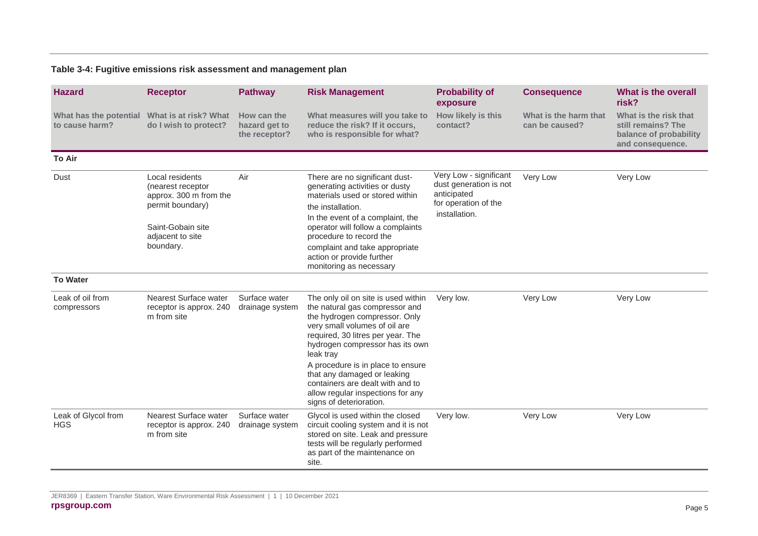#### **Table 3-4: Fugitive emissions risk assessment and management plan**

<span id="page-7-0"></span>

| <b>Hazard</b>                                                  | <b>Receptor</b>                                                                                                                          | <b>Pathway</b>                                | <b>Risk Management</b>                                                                                                                                                                                                                                                                                                 | <b>Probability of</b><br>exposure                                                                        | <b>Consequence</b>                      | <b>What is the overall</b><br>risk?                                                       |
|----------------------------------------------------------------|------------------------------------------------------------------------------------------------------------------------------------------|-----------------------------------------------|------------------------------------------------------------------------------------------------------------------------------------------------------------------------------------------------------------------------------------------------------------------------------------------------------------------------|----------------------------------------------------------------------------------------------------------|-----------------------------------------|-------------------------------------------------------------------------------------------|
| What has the potential What is at risk? What<br>to cause harm? | do I wish to protect?                                                                                                                    | How can the<br>hazard get to<br>the receptor? | What measures will you take to<br>reduce the risk? If it occurs,<br>who is responsible for what?                                                                                                                                                                                                                       | <b>How likely is this</b><br>contact?                                                                    | What is the harm that<br>can be caused? | What is the risk that<br>still remains? The<br>balance of probability<br>and consequence. |
| <b>To Air</b>                                                  |                                                                                                                                          |                                               |                                                                                                                                                                                                                                                                                                                        |                                                                                                          |                                         |                                                                                           |
| Dust                                                           | Local residents<br>(nearest receptor<br>approx. 300 m from the<br>permit boundary)<br>Saint-Gobain site<br>adjacent to site<br>boundary. | Air                                           | There are no significant dust-<br>generating activities or dusty<br>materials used or stored within<br>the installation.<br>In the event of a complaint, the<br>operator will follow a complaints<br>procedure to record the<br>complaint and take appropriate<br>action or provide further<br>monitoring as necessary | Very Low - significant<br>dust generation is not<br>anticipated<br>for operation of the<br>installation. | Very Low                                | Very Low                                                                                  |
| <b>To Water</b>                                                |                                                                                                                                          |                                               |                                                                                                                                                                                                                                                                                                                        |                                                                                                          |                                         |                                                                                           |
| Leak of oil from<br>compressors                                | Nearest Surface water<br>receptor is approx. 240<br>m from site                                                                          | Surface water<br>drainage system              | The only oil on site is used within<br>the natural gas compressor and<br>the hydrogen compressor. Only<br>very small volumes of oil are<br>required, 30 litres per year. The<br>hydrogen compressor has its own<br>leak tray                                                                                           | Very low.                                                                                                | Very Low                                | Very Low                                                                                  |
|                                                                |                                                                                                                                          |                                               | A procedure is in place to ensure<br>that any damaged or leaking<br>containers are dealt with and to<br>allow regular inspections for any<br>signs of deterioration.                                                                                                                                                   |                                                                                                          |                                         |                                                                                           |
| Leak of Glycol from<br><b>HGS</b>                              | Nearest Surface water<br>receptor is approx. 240<br>m from site                                                                          | Surface water<br>drainage system              | Glycol is used within the closed<br>circuit cooling system and it is not<br>stored on site. Leak and pressure<br>tests will be regularly performed<br>as part of the maintenance on<br>site.                                                                                                                           | Very low.                                                                                                | Very Low                                | Very Low                                                                                  |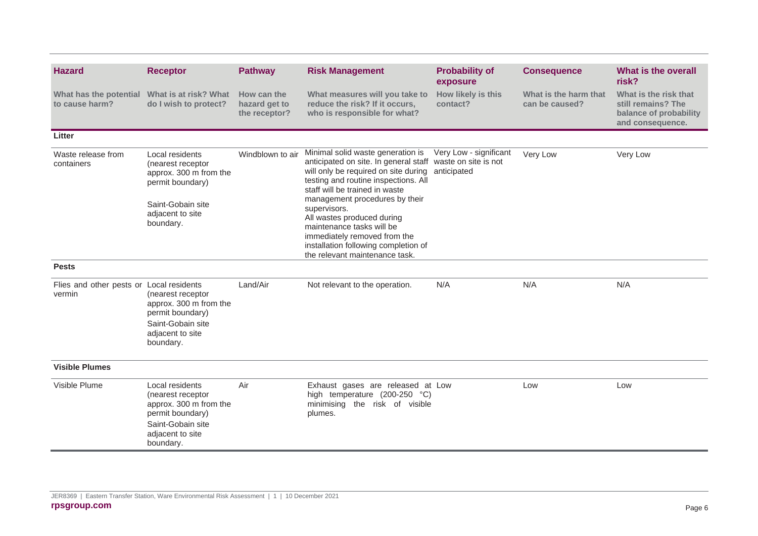| <b>Hazard</b>                                      | <b>Receptor</b>                                                                                                                          | <b>Pathway</b>                                | <b>Risk Management</b>                                                                                                                                                                                                                                                                                                                                                                                                                   | <b>Probability of</b><br>exposure     | <b>Consequence</b>                      | What is the overall<br>risk?                                                              |
|----------------------------------------------------|------------------------------------------------------------------------------------------------------------------------------------------|-----------------------------------------------|------------------------------------------------------------------------------------------------------------------------------------------------------------------------------------------------------------------------------------------------------------------------------------------------------------------------------------------------------------------------------------------------------------------------------------------|---------------------------------------|-----------------------------------------|-------------------------------------------------------------------------------------------|
| What has the potential<br>to cause harm?           | What is at risk? What<br>do I wish to protect?                                                                                           | How can the<br>hazard get to<br>the receptor? | What measures will you take to<br>reduce the risk? If it occurs,<br>who is responsible for what?                                                                                                                                                                                                                                                                                                                                         | How likely is this<br>contact?        | What is the harm that<br>can be caused? | What is the risk that<br>still remains? The<br>balance of probability<br>and consequence. |
| Litter                                             |                                                                                                                                          |                                               |                                                                                                                                                                                                                                                                                                                                                                                                                                          |                                       |                                         |                                                                                           |
| Waste release from<br>containers                   | Local residents<br>(nearest receptor<br>approx. 300 m from the<br>permit boundary)<br>Saint-Gobain site<br>adjacent to site<br>boundary. | Windblown to air                              | Minimal solid waste generation is<br>anticipated on site. In general staff waste on site is not<br>will only be required on site during<br>testing and routine inspections. All<br>staff will be trained in waste<br>management procedures by their<br>supervisors.<br>All wastes produced during<br>maintenance tasks will be<br>immediately removed from the<br>installation following completion of<br>the relevant maintenance task. | Very Low - significant<br>anticipated | Very Low                                | Very Low                                                                                  |
| <b>Pests</b>                                       |                                                                                                                                          |                                               |                                                                                                                                                                                                                                                                                                                                                                                                                                          |                                       |                                         |                                                                                           |
| Flies and other pests or Local residents<br>vermin | (nearest receptor<br>approx. 300 m from the<br>permit boundary)<br>Saint-Gobain site<br>adjacent to site<br>boundary.                    | Land/Air                                      | Not relevant to the operation.                                                                                                                                                                                                                                                                                                                                                                                                           | N/A                                   | N/A                                     | N/A                                                                                       |
| <b>Visible Plumes</b>                              |                                                                                                                                          |                                               |                                                                                                                                                                                                                                                                                                                                                                                                                                          |                                       |                                         |                                                                                           |
| Visible Plume                                      | Local residents<br>(nearest receptor<br>approx. 300 m from the<br>permit boundary)<br>Saint-Gobain site<br>adjacent to site<br>boundary. | Air                                           | Exhaust gases are released at Low<br>high temperature (200-250 °C)<br>minimising the risk of visible<br>plumes.                                                                                                                                                                                                                                                                                                                          |                                       | Low                                     | Low                                                                                       |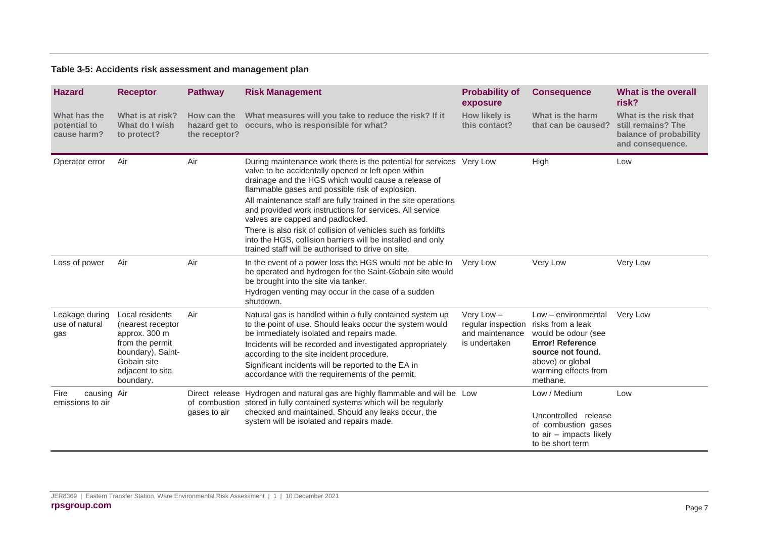#### **Table 3-5: Accidents risk assessment and management plan**

<span id="page-9-0"></span>

| <b>Hazard</b>                               | <b>Receptor</b>                                                                                                                               | <b>Pathway</b>                                | <b>Risk Management</b>                                                                                                                                                                                                                                                                                                                                                                                                                                                                                                                  | <b>Probability of</b><br>exposure                                      | <b>Consequence</b>                                                                                                                                                      | What is the overall<br>risk?                                                              |
|---------------------------------------------|-----------------------------------------------------------------------------------------------------------------------------------------------|-----------------------------------------------|-----------------------------------------------------------------------------------------------------------------------------------------------------------------------------------------------------------------------------------------------------------------------------------------------------------------------------------------------------------------------------------------------------------------------------------------------------------------------------------------------------------------------------------------|------------------------------------------------------------------------|-------------------------------------------------------------------------------------------------------------------------------------------------------------------------|-------------------------------------------------------------------------------------------|
| What has the<br>potential to<br>cause harm? | What is at risk?<br>What do I wish<br>to protect?                                                                                             | How can the<br>hazard get to<br>the receptor? | What measures will you take to reduce the risk? If it<br>occurs, who is responsible for what?                                                                                                                                                                                                                                                                                                                                                                                                                                           | How likely is<br>this contact?                                         | What is the harm<br>that can be caused?                                                                                                                                 | What is the risk that<br>still remains? The<br>balance of probability<br>and consequence. |
| Operator error                              | Air                                                                                                                                           | Air                                           | During maintenance work there is the potential for services Very Low<br>valve to be accidentally opened or left open within<br>drainage and the HGS which would cause a release of<br>flammable gases and possible risk of explosion.<br>All maintenance staff are fully trained in the site operations<br>and provided work instructions for services. All service<br>valves are capped and padlocked.<br>There is also risk of collision of vehicles such as forklifts<br>into the HGS, collision barriers will be installed and only |                                                                        | High                                                                                                                                                                    | Low                                                                                       |
|                                             |                                                                                                                                               |                                               | trained staff will be authorised to drive on site.                                                                                                                                                                                                                                                                                                                                                                                                                                                                                      |                                                                        |                                                                                                                                                                         |                                                                                           |
| Loss of power                               | Air                                                                                                                                           | Air                                           | In the event of a power loss the HGS would not be able to<br>be operated and hydrogen for the Saint-Gobain site would<br>be brought into the site via tanker.                                                                                                                                                                                                                                                                                                                                                                           | Very Low                                                               | Very Low                                                                                                                                                                | Very Low                                                                                  |
|                                             |                                                                                                                                               |                                               | Hydrogen venting may occur in the case of a sudden<br>shutdown.                                                                                                                                                                                                                                                                                                                                                                                                                                                                         |                                                                        |                                                                                                                                                                         |                                                                                           |
| Leakage during<br>use of natural<br>gas     | Local residents<br>(nearest receptor<br>approx. 300 m<br>from the permit<br>boundary), Saint-<br>Gobain site<br>adjacent to site<br>boundary. | Air                                           | Natural gas is handled within a fully contained system up<br>to the point of use. Should leaks occur the system would<br>be immediately isolated and repairs made.<br>Incidents will be recorded and investigated appropriately<br>according to the site incident procedure.<br>Significant incidents will be reported to the EA in<br>accordance with the requirements of the permit.                                                                                                                                                  | Very Low $-$<br>regular inspection<br>and maintenance<br>is undertaken | Low - environmental<br>risks from a leak<br>would be odour (see<br><b>Error! Reference</b><br>source not found.<br>above) or global<br>warming effects from<br>methane. | Very Low                                                                                  |
| causing Air<br>Fire<br>emissions to air     |                                                                                                                                               | gases to air                                  | Direct release Hydrogen and natural gas are highly flammable and will be Low<br>of combustion stored in fully contained systems which will be regularly<br>checked and maintained. Should any leaks occur, the<br>system will be isolated and repairs made.                                                                                                                                                                                                                                                                             |                                                                        | Low / Medium<br>Uncontrolled release<br>of combustion gases<br>to air - impacts likely<br>to be short term                                                              | Low                                                                                       |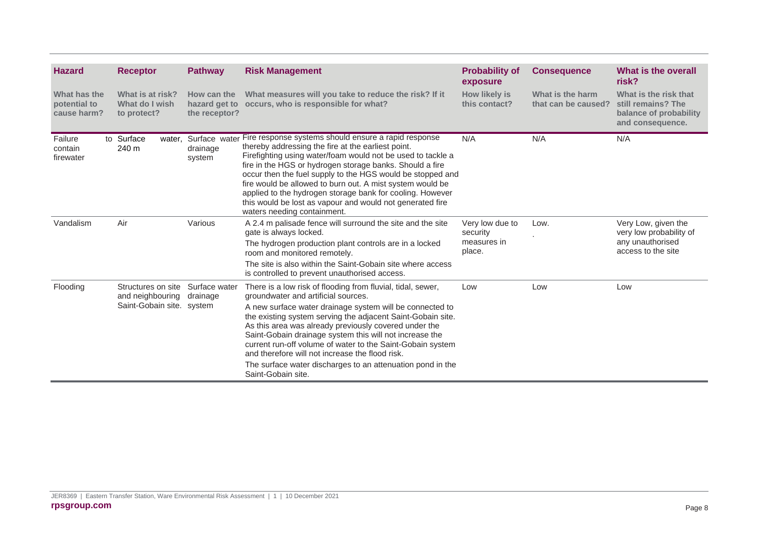| <b>Hazard</b>                               | <b>Receptor</b>                                                     | <b>Pathway</b>                                | <b>Risk Management</b>                                                                                                                                                                                                                                                                                                                                                                                                                                                                                                                                 | <b>Probability of</b><br>exposure                    | <b>Consequence</b>                      | What is the overall<br>risk?                                                              |
|---------------------------------------------|---------------------------------------------------------------------|-----------------------------------------------|--------------------------------------------------------------------------------------------------------------------------------------------------------------------------------------------------------------------------------------------------------------------------------------------------------------------------------------------------------------------------------------------------------------------------------------------------------------------------------------------------------------------------------------------------------|------------------------------------------------------|-----------------------------------------|-------------------------------------------------------------------------------------------|
| What has the<br>potential to<br>cause harm? | What is at risk?<br>What do I wish<br>to protect?                   | How can the<br>hazard get to<br>the receptor? | What measures will you take to reduce the risk? If it<br>occurs, who is responsible for what?                                                                                                                                                                                                                                                                                                                                                                                                                                                          | <b>How likely is</b><br>this contact?                | What is the harm<br>that can be caused? | What is the risk that<br>still remains? The<br>balance of probability<br>and consequence. |
| Failure<br>contain<br>firewater             | to Surface<br>water,<br>240 m                                       | Surface water<br>drainage<br>system           | Fire response systems should ensure a rapid response<br>thereby addressing the fire at the earliest point.<br>Firefighting using water/foam would not be used to tackle a<br>fire in the HGS or hydrogen storage banks. Should a fire<br>occur then the fuel supply to the HGS would be stopped and<br>fire would be allowed to burn out. A mist system would be<br>applied to the hydrogen storage bank for cooling. However<br>this would be lost as vapour and would not generated fire<br>waters needing containment.                              | N/A                                                  | N/A                                     | N/A                                                                                       |
| Vandalism                                   | Air                                                                 | Various                                       | A 2.4 m palisade fence will surround the site and the site<br>gate is always locked.<br>The hydrogen production plant controls are in a locked<br>room and monitored remotely.<br>The site is also within the Saint-Gobain site where access<br>is controlled to prevent unauthorised access.                                                                                                                                                                                                                                                          | Very low due to<br>security<br>measures in<br>place. | Low.                                    | Very Low, given the<br>very low probability of<br>any unauthorised<br>access to the site  |
| Flooding                                    | Structures on site<br>and neighbouring<br>Saint-Gobain site. system | Surface water<br>drainage                     | There is a low risk of flooding from fluvial, tidal, sewer,<br>groundwater and artificial sources.<br>A new surface water drainage system will be connected to<br>the existing system serving the adjacent Saint-Gobain site.<br>As this area was already previously covered under the<br>Saint-Gobain drainage system this will not increase the<br>current run-off volume of water to the Saint-Gobain system<br>and therefore will not increase the flood risk.<br>The surface water discharges to an attenuation pond in the<br>Saint-Gobain site. | Low                                                  | Low                                     | Low                                                                                       |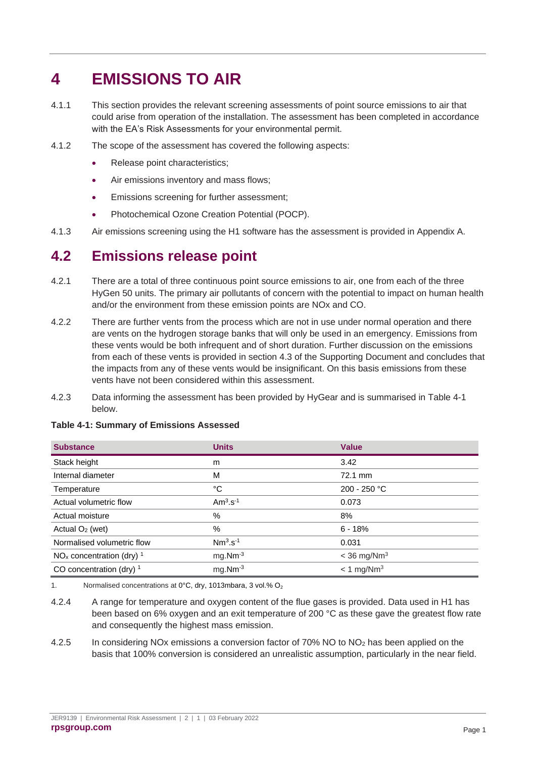# <span id="page-11-0"></span>**4 EMISSIONS TO AIR**

- 4.1.1 This section provides the relevant screening assessments of point source emissions to air that could arise from operation of the installation. The assessment has been completed in accordance with the EA's Risk Assessments for your environmental permit.
- 4.1.2 The scope of the assessment has covered the following aspects:
	- Release point characteristics;
	- Air emissions inventory and mass flows;
	- Emissions screening for further assessment;
	- Photochemical Ozone Creation Potential (POCP).
- 4.1.3 Air emissions screening using the H1 software has the assessment is provided in Appendix A.

### <span id="page-11-1"></span>**4.2 Emissions release point**

- 4.2.1 There are a total of three continuous point source emissions to air, one from each of the three HyGen 50 units. The primary air pollutants of concern with the potential to impact on human health and/or the environment from these emission points are NOx and CO.
- 4.2.2 There are further vents from the process which are not in use under normal operation and there are vents on the hydrogen storage banks that will only be used in an emergency. Emissions from these vents would be both infrequent and of short duration. Further discussion on the emissions from each of these vents is provided in section 4.3 of the Supporting Document and concludes that the impacts from any of these vents would be insignificant. On this basis emissions from these vents have not been considered within this assessment.
- 4.2.3 Data informing the assessment has been provided by HyGear and is summarised in [Table 4-1](#page-11-2) below.

| <b>Substance</b>                       | <b>Units</b>            | <b>Value</b>              |
|----------------------------------------|-------------------------|---------------------------|
| Stack height                           | m                       | 3.42                      |
| Internal diameter                      | M                       | 72.1 mm                   |
| Temperature                            | °C                      | 200 - 250 °C              |
| Actual volumetric flow                 | A $m3$ .s <sup>-1</sup> | 0.073                     |
| Actual moisture                        | $\%$                    | 8%                        |
| Actual $O2$ (wet)                      | $\%$                    | $6 - 18%$                 |
| Normalised volumetric flow             | $Nm3.s-1$               | 0.031                     |
| $NOx$ concentration (dry) <sup>1</sup> | $mg.Mm-3$               | $<$ 36 mg/Nm <sup>3</sup> |
| CO concentration (dry) $1$             | $mg.Mm-3$               | $< 1$ mg/Nm <sup>3</sup>  |

#### <span id="page-11-2"></span>**Table 4-1: Summary of Emissions Assessed**

1. Normalised concentrations at  $0^{\circ}$ C, dry, 1013mbara, 3 vol.% O<sub>2</sub>

4.2.4 A range for temperature and oxygen content of the flue gases is provided. Data used in H1 has been based on 6% oxygen and an exit temperature of 200 °C as these gave the greatest flow rate and consequently the highest mass emission.

4.2.5 In considering NOx emissions a conversion factor of 70% NO to NO<sub>2</sub> has been applied on the basis that 100% conversion is considered an unrealistic assumption, particularly in the near field.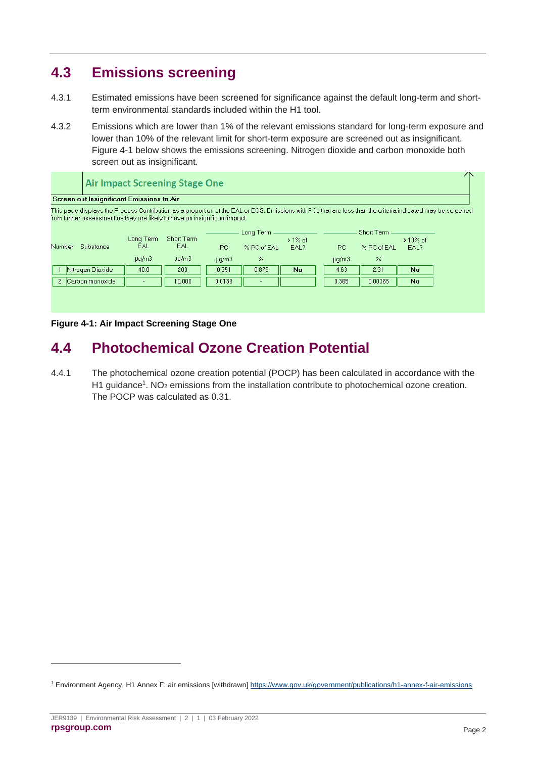### <span id="page-12-0"></span>**4.3 Emissions screening**

- 4.3.1 Estimated emissions have been screened for significance against the default long-term and shortterm environmental standards included within the H1 tool.
- 4.3.2 Emissions which are lower than 1% of the relevant emissions standard for long-term exposure and lower than 10% of the relevant limit for short-term exposure are screened out as insignificant. Figure 4-1 below shows the emissions screening. Nitrogen dioxide and carbon monoxide both screen out as insignificant.

|                                 | <b>Air Impact Screening Stage One</b>                                                                                                                                                                                                     |                   |                                                      |                          |    |                                                        |         |           | $\sim$ $\sim$ |
|---------------------------------|-------------------------------------------------------------------------------------------------------------------------------------------------------------------------------------------------------------------------------------------|-------------------|------------------------------------------------------|--------------------------|----|--------------------------------------------------------|---------|-----------|---------------|
|                                 | <b>Screen out Insignificant Emissions to Air</b>                                                                                                                                                                                          |                   |                                                      |                          |    |                                                        |         |           |               |
|                                 | This page displays the Process Contribution as a proportion of the EAL or EQS. Emissions with PCs that are less than the criteria indicated may be screened<br>rom further assessment as they are likely to have an insignificant impact. |                   |                                                      |                          |    |                                                        |         |           |               |
| Substance<br>Number             | Long Term<br>EAL.                                                                                                                                                                                                                         | Short Term<br>EAL | Long Term<br>$>1\%$ of<br>PC.<br>% PC of EAL<br>EAL? |                          |    | Short Term<br>$>10\%$ of<br>PC.<br>% PC of EAL<br>EAL? |         |           |               |
|                                 | $\mu q/m3$                                                                                                                                                                                                                                | $\mu q/m3$        | $\mu q/m3$                                           | %                        |    | $\mu q/m3$                                             | $\%$    |           |               |
| Nitrogen Dioxide                | 40.0                                                                                                                                                                                                                                      | 200               | 0.351                                                | 0.876                    | No | 4.63                                                   | 2.31    | No.       |               |
| Carbon monoxide<br>$\mathbf{2}$ |                                                                                                                                                                                                                                           | 10,000            | 0.0139                                               | $\overline{\phantom{0}}$ |    | 0.365                                                  | 0.00365 | <b>No</b> |               |
|                                 |                                                                                                                                                                                                                                           |                   |                                                      |                          |    |                                                        |         |           |               |
|                                 |                                                                                                                                                                                                                                           |                   |                                                      |                          |    |                                                        |         |           |               |
|                                 |                                                                                                                                                                                                                                           |                   |                                                      |                          |    |                                                        |         |           |               |

**Figure 4-1: Air Impact Screening Stage One**

### <span id="page-12-1"></span>**4.4 Photochemical Ozone Creation Potential**

4.4.1 The photochemical ozone creation potential (POCP) has been calculated in accordance with the H1 guidance<sup>1</sup>. NO<sub>2</sub> emissions from the installation contribute to photochemical ozone creation. The POCP was calculated as 0.31.

<sup>1</sup> Environment Agency, H1 Annex F: air emissions [withdrawn]<https://www.gov.uk/government/publications/h1-annex-f-air-emissions>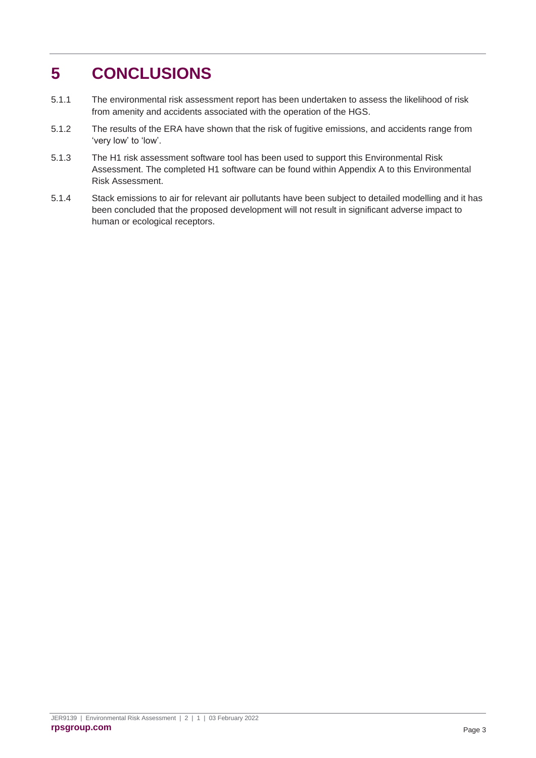# <span id="page-13-0"></span>**5 CONCLUSIONS**

- 5.1.1 The environmental risk assessment report has been undertaken to assess the likelihood of risk from amenity and accidents associated with the operation of the HGS.
- 5.1.2 The results of the ERA have shown that the risk of fugitive emissions, and accidents range from 'very low' to 'low'.
- 5.1.3 The H1 risk assessment software tool has been used to support this Environmental Risk Assessment. The completed H1 software can be found within Appendix A to this Environmental Risk Assessment.
- 5.1.4 Stack emissions to air for relevant air pollutants have been subject to detailed modelling and it has been concluded that the proposed development will not result in significant adverse impact to human or ecological receptors.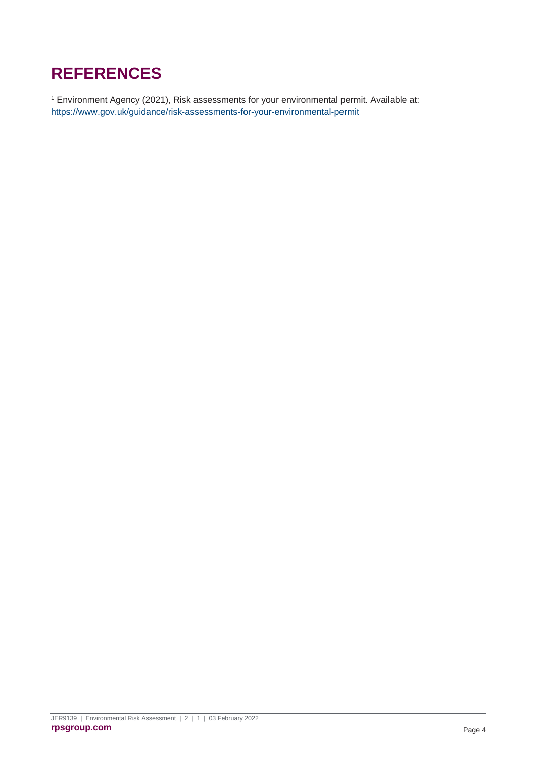# <span id="page-14-0"></span>**REFERENCES**

<sup>1</sup> Environment Agency (2021), Risk assessments for your environmental permit. Available at: <https://www.gov.uk/guidance/risk-assessments-for-your-environmental-permit>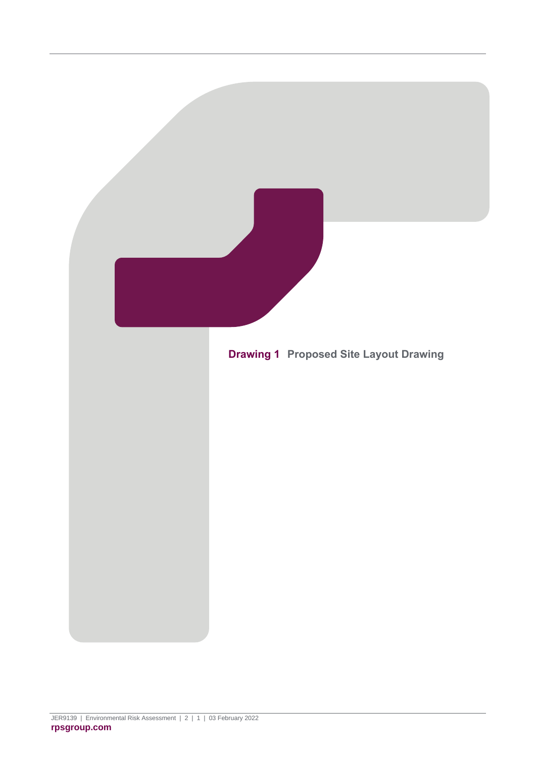<span id="page-15-0"></span>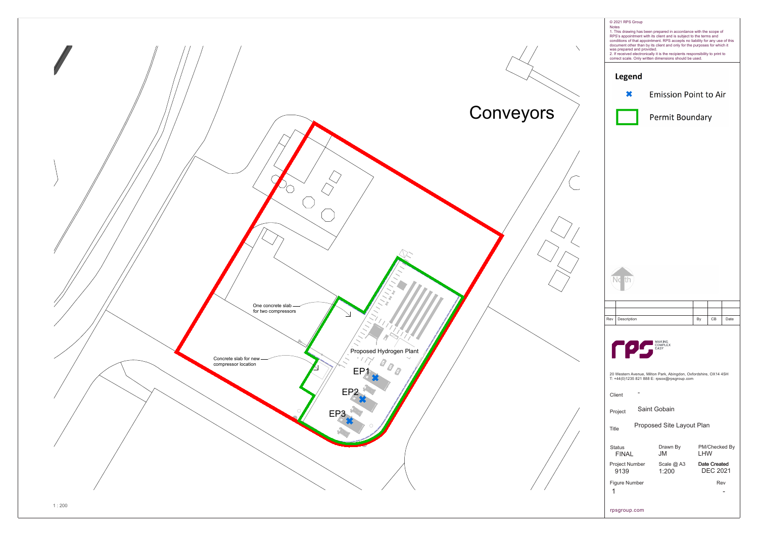

| <b>Notes</b>                       | © 2021 RPS Group<br>was prepared and provided. |  | 1. This drawing has been prepared in accordance with the scope of<br>RPS's appointment with its client and is subject to the terms and<br>conditions of that appointment. RPS accepts no liability for any use of this<br>document other than by its client and only for the purposes for which it<br>2. If received electronically it is the recipients responsibility to print to<br>correct scale. Only written dimensions should be used. |  |            |                                 |               |  |  |  |  |
|------------------------------------|------------------------------------------------|--|-----------------------------------------------------------------------------------------------------------------------------------------------------------------------------------------------------------------------------------------------------------------------------------------------------------------------------------------------------------------------------------------------------------------------------------------------|--|------------|---------------------------------|---------------|--|--|--|--|
|                                    | <b>Legend</b>                                  |  |                                                                                                                                                                                                                                                                                                                                                                                                                                               |  |            |                                 |               |  |  |  |  |
| <b>Emission Point to Air</b>       |                                                |  |                                                                                                                                                                                                                                                                                                                                                                                                                                               |  |            |                                 |               |  |  |  |  |
| <b>Permit Boundary</b>             |                                                |  |                                                                                                                                                                                                                                                                                                                                                                                                                                               |  |            |                                 |               |  |  |  |  |
|                                    |                                                |  |                                                                                                                                                                                                                                                                                                                                                                                                                                               |  |            |                                 |               |  |  |  |  |
|                                    |                                                |  |                                                                                                                                                                                                                                                                                                                                                                                                                                               |  |            |                                 |               |  |  |  |  |
|                                    |                                                |  |                                                                                                                                                                                                                                                                                                                                                                                                                                               |  |            |                                 |               |  |  |  |  |
|                                    |                                                |  |                                                                                                                                                                                                                                                                                                                                                                                                                                               |  |            |                                 |               |  |  |  |  |
|                                    |                                                |  |                                                                                                                                                                                                                                                                                                                                                                                                                                               |  |            |                                 |               |  |  |  |  |
|                                    |                                                |  |                                                                                                                                                                                                                                                                                                                                                                                                                                               |  |            |                                 |               |  |  |  |  |
|                                    | J٢                                             |  |                                                                                                                                                                                                                                                                                                                                                                                                                                               |  |            |                                 |               |  |  |  |  |
| Rev                                | Description                                    |  |                                                                                                                                                                                                                                                                                                                                                                                                                                               |  | By         | CВ                              | Date          |  |  |  |  |
|                                    | MAKING COMPLEX<br>Client                       |  | 20 Western Avenue, Milton Park, Abingdon, Oxfordshire, OX14 4SH<br>T: +44(0)1235 821 888 E: rpsox@rpsgroup.com                                                                                                                                                                                                                                                                                                                                |  |            |                                 |               |  |  |  |  |
|                                    | Project                                        |  | Saint Gobain                                                                                                                                                                                                                                                                                                                                                                                                                                  |  |            |                                 |               |  |  |  |  |
| Proposed Site Layout Plan<br>Title |                                                |  |                                                                                                                                                                                                                                                                                                                                                                                                                                               |  |            |                                 |               |  |  |  |  |
|                                    | <b>Status</b><br>FINAL                         |  | Drawn By<br><b>JM</b>                                                                                                                                                                                                                                                                                                                                                                                                                         |  | <b>LHW</b> |                                 | PM/Checked By |  |  |  |  |
|                                    | 9139                                           |  | Project Number Scale @ A3<br>1:200                                                                                                                                                                                                                                                                                                                                                                                                            |  |            | Date Created<br><b>DEC 2021</b> |               |  |  |  |  |
| 1                                  | Figure Number                                  |  |                                                                                                                                                                                                                                                                                                                                                                                                                                               |  |            | Rev                             |               |  |  |  |  |
|                                    | rpsgroup.com                                   |  |                                                                                                                                                                                                                                                                                                                                                                                                                                               |  |            |                                 |               |  |  |  |  |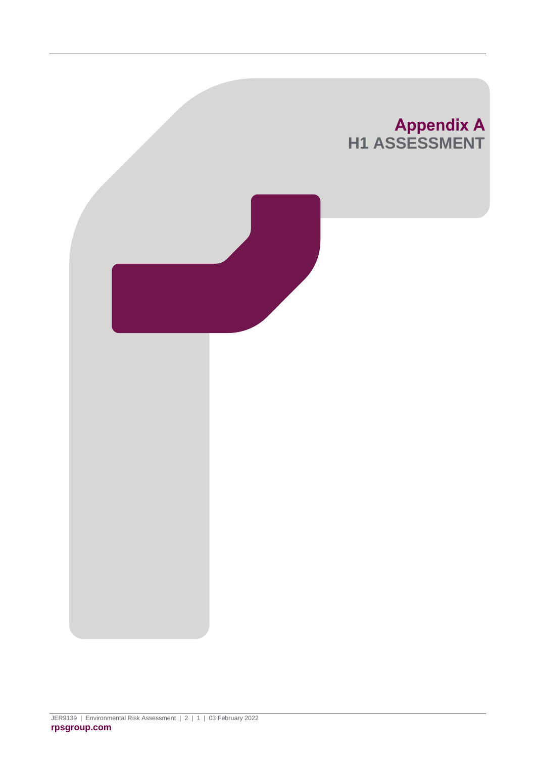<span id="page-17-0"></span>